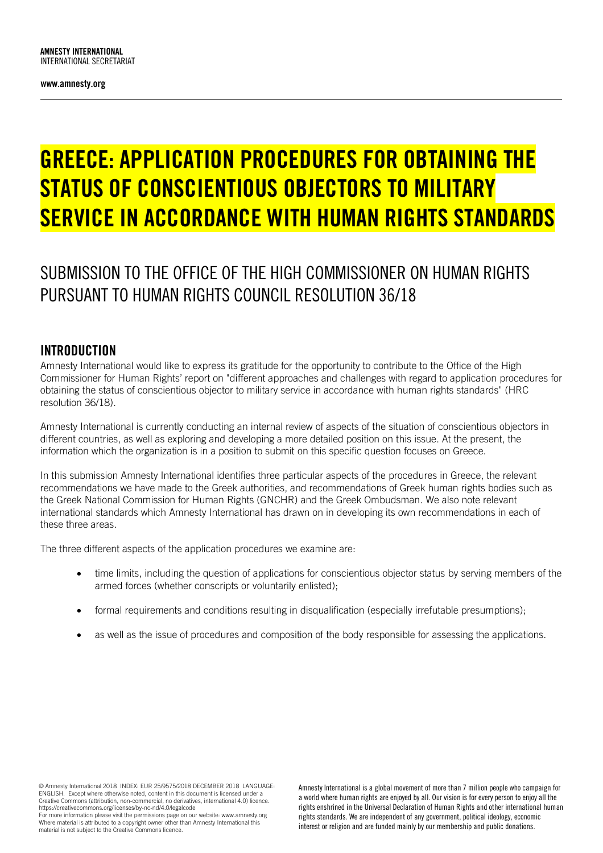www.amnesty.org

# GREECE: APPLICATION PROCEDURES FOR OBTAINING THE STATUS OF CONSCIENTIOUS OBJECTORS TO MILITARY SERVICE IN ACCORDANCE WITH HUMAN RIGHTS STANDARDS

# SUBMISSION TO THE OFFICE OF THE HIGH COMMISSIONER ON HUMAN RIGHTS PURSUANT TO HUMAN RIGHTS COUNCIL RESOLUTION 36/18

### INTRODUCTION

Amnesty International would like to express its gratitude for the opportunity to contribute to the Office of the High Commissioner for Human Rights' report on "different approaches and challenges with regard to application procedures for obtaining the status of conscientious objector to military service in accordance with human rights standards" (HRC resolution 36/18).

Amnesty International is currently conducting an internal review of aspects of the situation of conscientious objectors in different countries, as well as exploring and developing a more detailed position on this issue. At the present, the information which the organization is in a position to submit on this specific question focuses on Greece.

In this submission Amnesty International identifies three particular aspects of the procedures in Greece, the relevant recommendations we have made to the Greek authorities, and recommendations of Greek human rights bodies such as the Greek National Commission for Human Rights (GNCHR) and the Greek Ombudsman. We also note relevant international standards which Amnesty International has drawn on in developing its own recommendations in each of these three areas.

The three different aspects of the application procedures we examine are:

- time limits, including the question of applications for conscientious objector status by serving members of the armed forces (whether conscripts or voluntarily enlisted);
- formal requirements and conditions resulting in disqualification (especially irrefutable presumptions);
- as well as the issue of procedures and composition of the body responsible for assessing the applications.

© Amnesty International 2018 INDEX: EUR 25/9575/2018 DECEMBER 2018 LANGUAGE: ENGLISH. Except where otherwise noted, content in this document is licensed under a Creative Commons (attribution, non-commercial, no derivatives, international 4.0) licence. https://creativecommons.org/licenses/by-nc-nd/4.0/legalcode For more information please visit the permissions page on our website: www.amnesty.org

Where material is attributed to a copyright owner other than Amnesty International this material is not subject to the Creative Commons licence.

Amnesty International is a global movement of more than 7 million people who campaign for a world where human rights are enjoyed by all. Our vision is for every person to enjoy all the rights enshrined in the Universal Declaration of Human Rights and other international human rights standards. We are independent of any government, political ideology, economic interest or religion and are funded mainly by our membership and public donations.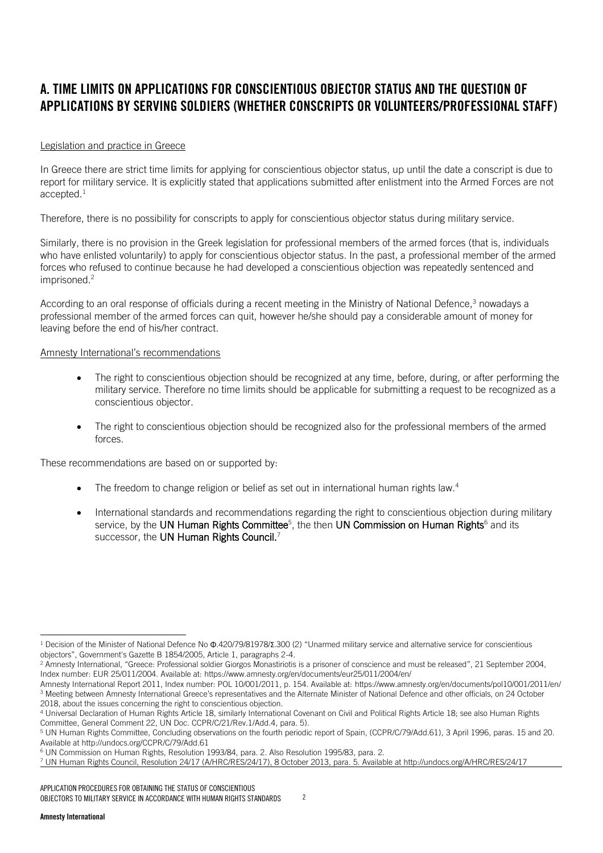# A. TIME LIMITS ON APPLICATIONS FOR CONSCIENTIOUS OBJECTOR STATUS AND THE QUESTION OF APPLICATIONS BY SERVING SOLDIERS (WHETHER CONSCRIPTS OR VOLUNTEERS/PROFESSIONAL STAFF)

#### Legislation and practice in Greece

In Greece there are strict time limits for applying for conscientious objector status, up until the date a conscript is due to report for military service. It is explicitly stated that applications submitted after enlistment into the Armed Forces are not accepted.<sup>1</sup>

Therefore, there is no possibility for conscripts to apply for conscientious objector status during military service.

Similarly, there is no provision in the Greek legislation for professional members of the armed forces (that is, individuals who have enlisted voluntarily) to apply for conscientious objector status. In the past, a professional member of the armed forces who refused to continue because he had developed a conscientious objection was repeatedly sentenced and imprisoned.<sup>2</sup>

According to an oral response of officials during a recent meeting in the Ministry of National Defence.<sup>3</sup> nowadays a professional member of the armed forces can quit, however he/she should pay a considerable amount of money for leaving before the end of his/her contract.

#### Amnesty International's recommendations

- The right to conscientious objection should be recognized at any time, before, during, or after performing the military service. Therefore no time limits should be applicable for submitting a request to be recognized as a conscientious objector.
- The right to conscientious objection should be recognized also for the professional members of the armed forces.

These recommendations are based on or supported by:

- $\bullet$  The freedom to change religion or belief as set out in international human rights law.<sup>4</sup>
- International standards and recommendations regarding the right to conscientious objection during military service, by the **UN Human Rights Committee**<sup>5</sup>, the then **UN Commission on Human Rights**<sup>6</sup> and its successor, the UN Human Rights Council.<sup>7</sup>

<sup>-</sup><sup>1</sup> Decision of the Minister of National Defence No Φ.420/79/81978/Σ.300 (2) "Unarmed military service and alternative service for conscientious objectors", Government's Gazette B 1854/2005, Article 1, paragraphs 2-4.

<sup>2</sup> Amnesty International, "Greece: Professional soldier Giorgos Monastiriotis is a prisoner of conscience and must be released", 21 September 2004, Index number: EUR 25/011/2004. Available at[: https://www.amnesty.org/en/documents/eur25/011/2004/en/](https://www.amnesty.org/en/documents/eur25/011/2004/en/)

Amnesty International Report 2011, Index number: POL 10/001/2011, p. 154. Available at:<https://www.amnesty.org/en/documents/pol10/001/2011/en/> <sup>3</sup> Meeting between Amnesty International Greece's representatives and the Alternate Minister of National Defence and other officials, on 24 October 2018, about the issues concerning the right to conscientious objection.

<sup>4</sup> Universal Declaration of Human Rights Article 18, similarly International Covenant on Civil and Political Rights Article 18; see also Human Rights Committee, General Comment 22[, UN Doc. CCPR/C/21/Rev.1/Add.4,](http://www.un.org/en/ga/search/view_doc.asp?symbol=CCPR/C/21/Rev.1/Add.4) para. 5).

<sup>5</sup> UN Human Rights Committee, Concluding observations on the fourth periodic report of Spain, (CCPR/C/79/Add.61), 3 April 1996, paras. 15 and 20. Available a[t http://undocs.org/CCPR/C/79/Add.61](http://undocs.org/CCPR/C/79/Add.61)

<sup>6</sup> UN Commission on Human Rights, [Resolution 1993/84,](http://www.refworld.org/docid/3b00f1228c.html) para. 2. Also [Resolution 1995/83,](http://www.refworld.org/docid/3b00f0d220.html) para. 2.

<sup>7</sup> UN Human Rights Council, Resolution 24/17 (A/HRC/RES/24/17), 8 October 2013, para. 5. Available at<http://undocs.org/A/HRC/RES/24/17>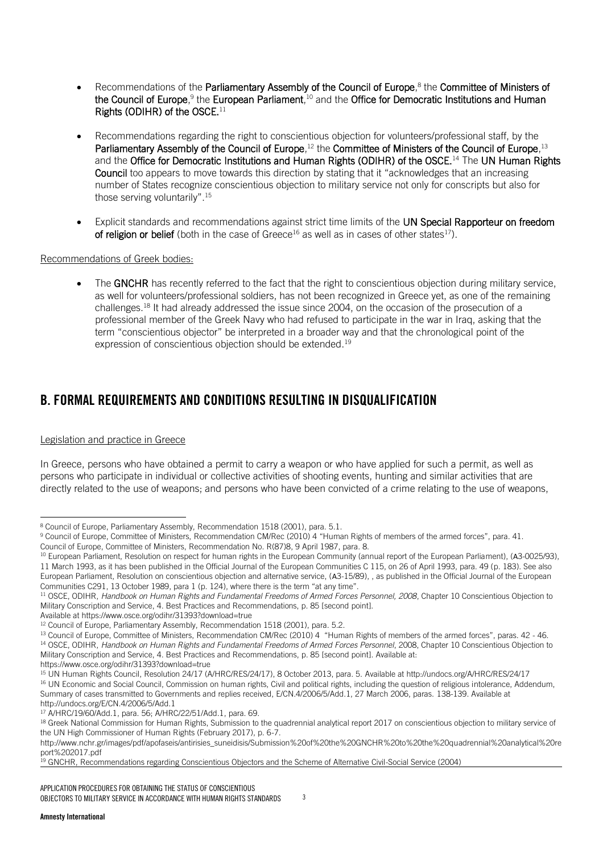- Recommendations of the Parliamentary Assembly of the Council of Europe,<sup>8</sup> the Committee of Ministers of the Council of Europe,<sup>9</sup> the European Parliament,<sup>10</sup> and the Office for Democratic Institutions and Human Rights (ODIHR) of the OSCE.<sup>11</sup>
- Recommendations regarding the right to conscientious objection for volunteers/professional staff, by the Parliamentary Assembly of the Council of Europe,<sup>12</sup> the Committee of Ministers of the Council of Europe,<sup>13</sup> and the Office for Democratic Institutions and Human Rights (ODIHR) of the OSCE.<sup>14</sup> The UN Human Rights Council too appears to move towards this direction by stating that it "acknowledges that an increasing number of States recognize conscientious objection to military service not only for conscripts but also for those serving voluntarily".<sup>15</sup>
- Explicit standards and recommendations against strict time limits of the UN Special Rapporteur on freedom of religion or belief (both in the case of Greece<sup>16</sup> as well as in cases of other states<sup>17</sup>).

#### Recommendations of Greek bodies:

 The GNCHR has recently referred to the fact that the right to conscientious objection during military service, as well for volunteers/professional soldiers, has not been recognized in Greece yet, as one of the remaining challenges.<sup>18</sup> It had already addressed the issue since 2004, on the occasion of the prosecution of a professional member of the Greek Navy who had refused to participate in the war in Iraq, asking that the term "conscientious objector" be interpreted in a broader way and that the chronological point of the expression of conscientious objection should be extended.<sup>19</sup>

## B. FORMAL REQUIREMENTS AND CONDITIONS RESULTING IN DISQUALIFICATION

#### Legislation and practice in Greece

-

In Greece, persons who have obtained a permit to carry a weapon or who have applied for such a permit, as well as persons who participate in individual or collective activities of shooting events, hunting and similar activities that are directly related to the use of weapons; and persons who have been convicted of a crime relating to the use of weapons,

Council of Europe, Committee of Ministers[, Recommendation No. R\(87\)8,](http://www.refworld.org/docid/5069778e2.html) 9 April 1987, para. 8.

Available a[t https://www.osce.org/odihr/31393?download=true](https://www.osce.org/odihr/31393?download=true)

<sup>8</sup> Council of Europe, Parliamentary Assembly, [Recommendation 1518 \(2001\),](http://assembly.coe.int/nw/xml/XRef/Xref-XML2HTML-EN.asp?fileid=16909&lang=en) para. 5.1.

<sup>9</sup> Council of Europe, Committee of Ministers, [Recommendation CM/Rec \(2010\) 4](http://www.refworld.org/docid/506979172.html) "Human Rights of members of the armed forces", para. 41.

<sup>&</sup>lt;sup>10</sup> European Parliament, Resolution on respect for human rights in the European Community (annual report of the European Parliament), (A3-0025/93), [11 March 1993,](http://eur-lex.europa.eu/legal-content/EN/TXT/PDF/?uri=OJ:JOC_1993_115_R_0139_01&from=EN) as it has been published in the Official Journal of the European Communities C 115, on 26 of April 1993, para. 49 (p. 183). See also European Parliament, Resolution on conscientious objection and alternative service, (Α3-15/89), , as published in the Official Journal of the European Communitie[s C291](http://eur-lex.europa.eu/legal-content/EN/TXT/PDF/?uri=OJ:JOC_1989_291_R_0113_01&from=EN), 13 October 1989, para 1 (p. 124), where there is the term "at any time".

<sup>11</sup> OSCE, ODIHR, *Handbook on Human Rights and Fundamental Freedoms of Armed Forces Personnel, 2008*, Chapter 10 Conscientious Objection to Military Conscription and Service, 4. Best Practices and Recommendations, p. 85 [second point].

<sup>&</sup>lt;sup>12</sup> Council of Europe, Parliamentary Assembly[, Recommendation 1518 \(2001\),](http://assembly.coe.int/nw/xml/XRef/Xref-XML2HTML-EN.asp?fileid=16909&lang=en#_blank) para. 5.2.

<sup>&</sup>lt;sup>13</sup> Council of Europe, Committee of Ministers, [Recommendation CM/Rec \(2010\) 4](http://www.refworld.org/docid/506979172.html) "Human Rights of members of the armed forces", paras. 42 - 46. <sup>14</sup> OSCE, ODIHR, Handbook on Human Rights and Fundamental Freedoms of Armed Forces Personnel, 2008, Chapter 10 Conscientious Objection to Military Conscription and Service, 4. Best Practices and Recommendations, p. 85 [second point]. Available at: <https://www.osce.org/odihr/31393?download=true>

<sup>15</sup> UN Human Rights Council, Resolution 24/17 (A/HRC/RES/24/17), 8 October 2013, para. 5. Available at<http://undocs.org/A/HRC/RES/24/17> <sup>16</sup> UN Economic and Social Council, Commission on human rights, Civil and political rights, including the question of religious intolerance, Addendum, Summary of cases transmitted to Governments and replies received, E/CN.4/2006/5/Add.1, 27 March 2006, paras. 138-139. Available at <http://undocs.org/E/CN.4/2006/5/Add.1>

<sup>17</sup> [A/HRC/19/60/Add.1,](http://undocs.org/A/HRC/19/60/Add.1) para. 56; [A/HRC/22/51/Add.1,](http://undocs.org/A/HRC/22/51/Add.1) para. 69.

<sup>&</sup>lt;sup>18</sup> Greek National Commission for Human Rights, Submission to the quadrennial analytical report 2017 on conscientious objection to military service of the UN High Commissioner of Human Rights (February 2017), p. 6-7.

[http://www.nchr.gr/images/pdf/apofaseis/antirisies\\_suneidisis/Submission%20of%20the%20GNCHR%20to%20the%20quadrennial%20analytical%20re](http://www.nchr.gr/images/pdf/apofaseis/antirisies_suneidisis/Submission%20of%20the%20GNCHR%20to%20the%20quadrennial%20analytical%20report%202017.pdf) [port%202017.pdf](http://www.nchr.gr/images/pdf/apofaseis/antirisies_suneidisis/Submission%20of%20the%20GNCHR%20to%20the%20quadrennial%20analytical%20report%202017.pdf)

<sup>&</sup>lt;sup>19</sup> GNCHR, [Recommendations r](http://www.nchr.gr/images/English_Site/ANTIRRISIES/Conscientious_of_objectors_2004.pdf#_blank)egarding Conscientious Objectors and the Scheme of Alternative Civil-Social Service (2004)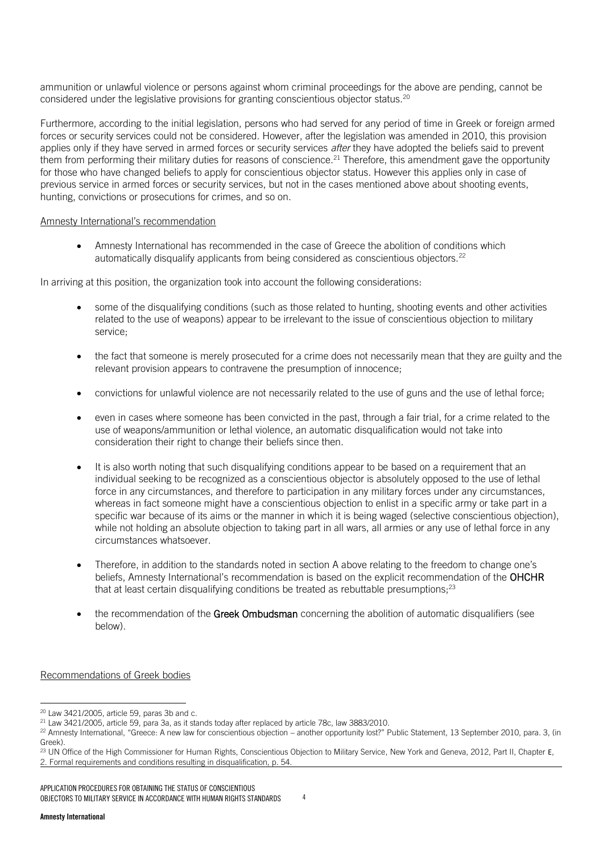ammunition or unlawful violence or persons against whom criminal proceedings for the above are pending, cannot be considered under the legislative provisions for granting conscientious objector status.<sup>20</sup>

Furthermore, according to the initial legislation, persons who had served for any period of time in Greek or foreign armed forces or security services could not be considered. However, after the legislation was amended in 2010, this provision applies only if they have served in armed forces or security services *after* they have adopted the beliefs said to prevent them from performing their military duties for reasons of conscience.<sup>21</sup> Therefore, this amendment gave the opportunity for those who have changed beliefs to apply for conscientious objector status. However this applies only in case of previous service in armed forces or security services, but not in the cases mentioned above about shooting events, hunting, convictions or prosecutions for crimes, and so on.

#### Amnesty International's recommendation

 Amnesty International has recommended in the case of Greece the abolition of conditions which automatically disqualify applicants from being considered as conscientious objectors.<sup>22</sup>

In arriving at this position, the organization took into account the following considerations:

- some of the disqualifying conditions (such as those related to hunting, shooting events and other activities related to the use of weapons) appear to be irrelevant to the issue of conscientious objection to military service;
- the fact that someone is merely prosecuted for a crime does not necessarily mean that they are guilty and the relevant provision appears to contravene the presumption of innocence;
- convictions for unlawful violence are not necessarily related to the use of guns and the use of lethal force;
- even in cases where someone has been convicted in the past, through a fair trial, for a crime related to the use of weapons/ammunition or lethal violence, an automatic disqualification would not take into consideration their right to change their beliefs since then.
- It is also worth noting that such disqualifying conditions appear to be based on a requirement that an individual seeking to be recognized as a conscientious objector is absolutely opposed to the use of lethal force in any circumstances, and therefore to participation in any military forces under any circumstances, whereas in fact someone might have a conscientious objection to enlist in a specific army or take part in a specific war because of its aims or the manner in which it is being waged (selective conscientious objection), while not holding an absolute objection to taking part in all wars, all armies or any use of lethal force in any circumstances whatsoever.
- Therefore, in addition to the standards noted in section A above relating to the freedom to change one's beliefs. Amnesty International's recommendation is based on the explicit recommendation of the OHCHR that at least certain disqualifying conditions be treated as rebuttable presumptions;<sup>23</sup>
- the recommendation of the Greek Ombudsman concerning the abolition of automatic disqualifiers (see below).

#### Recommendations of Greek bodies

APPLICATION PROCEDURES FOR OBTAINING THE STATUS OF CONSCIENTIOUS OBJECTORS TO MILITARY SERVICE IN ACCORDANCE WITH HUMAN RIGHTS STANDARDS 4

<sup>-</sup> $20$  Law 3421/2005, article 59, paras 3b and c.

<sup>21</sup> Law 3421/2005, article 59, para 3a, as it stands today after replaced by article 78c, law 3883/2010.

<sup>22</sup> Amnesty International, "Greece: A new law for conscientious objection – another opportunity lost?" Public Statement, 13 September 2010, para. 3, (in [Greek\)](https://www.amnesty.gr/news/press/article/5839/ellada-neos-nomos-gia-tin-antirrisi-syneidisis-nea-hameni-eykairia).

<sup>&</sup>lt;sup>23</sup> UN Office of the High Commissioner for Human Rights, [Conscientious Objection to Military Service,](http://www.ohchr.org/Documents/Publications/ConscientiousObjection_en.pdf) New York and Geneva, 2012, Part II, Chapter E, 2. Formal requirements and conditions resulting in disqualification, p. 54.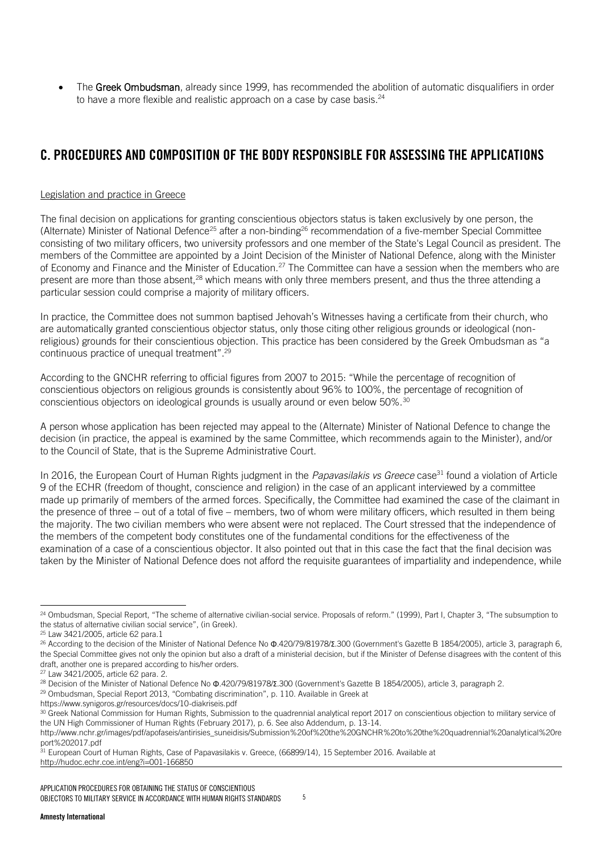• The Greek Ombudsman, already since 1999, has recommended the abolition of automatic disqualifiers in order to have a more flexible and realistic approach on a case by case basis.<sup>24</sup>

# C. PROCEDURES AND COMPOSITION OF THE BODY RESPONSIBLE FOR ASSESSING THE APPLICATIONS

#### Legislation and practice in Greece

The final decision on applications for granting conscientious objectors status is taken exclusively by one person, the (Alternate) Minister of National Defence<sup>25</sup> after a non-binding<sup>26</sup> recommendation of a five-member Special Committee consisting of two military officers, two university professors and one member of the State's Legal Council as president. The members of the Committee are appointed by a Joint Decision of the Minister of National Defence, along with the Minister of Economy and Finance and the Minister of Education.<sup>27</sup> The Committee can have a session when the members who are present are more than those absent,<sup>28</sup> which means with only three members present, and thus the three attending a particular session could comprise a majority of military officers.

In practice, the Committee does not summon baptised Jehovah's Witnesses having a certificate from their church, who are automatically granted conscientious objector status, only those citing other religious grounds or ideological (nonreligious) grounds for their conscientious objection. This practice has been considered by the Greek Ombudsman as "a continuous practice of unequal treatment".<sup>29</sup>

According to the GNCHR referring to official figures from 2007 to 2015: "While the percentage of recognition of conscientious objectors on religious grounds is consistently about 96% to 100%, the percentage of recognition of conscientious objectors on ideological grounds is usually around or even below 50%.<sup>30</sup>

A person whose application has been rejected may appeal to the (Alternate) Minister of National Defence to change the decision (in practice, the appeal is examined by the same Committee, which recommends again to the Minister), and/or to the Council of State, that is the Supreme Administrative Court.

In 2016, the European Court of Human Rights judgment in the *Papavasilakis vs Greece* case<sup>31</sup> found a violation of Article 9 of the ECHR (freedom of thought, conscience and religion) in the case of an applicant interviewed by a committee made up primarily of members of the armed forces. Specifically, the Committee had examined the case of the claimant in the presence of three – out of a total of five – members, two of whom were military officers, which resulted in them being the majority. The two civilian members who were absent were not replaced. The Court stressed that the independence of the members of the competent body constitutes one of the fundamental conditions for the effectiveness of the examination of a case of a conscientious objector. It also pointed out that in this case the fact that the final decision was taken by the Minister of National Defence does not afford the requisite guarantees of impartiality and independence, while

l <sup>24</sup> Ombudsman, Special Report, "The scheme of alternative civilian-social service. Proposals of reform." (1999), Part I, Chapter 3, "The subsumption to the status of alternative civilian social service", (i[n Greek\)](http://www.synigoros.gr/resources/docs/208142.doc).

<sup>25</sup> Law 3421/2005, article 62 para.1

<sup>&</sup>lt;sup>26</sup> According to the decision of the Minister of National Defence No Φ.420/79/81978/Σ.300 (Government's Gazette B 1854/2005), article 3, paragraph 6, the Special Committee gives not only the opinion but also a draft of a ministerial decision, but if the Minister of Defense disagrees with the content of this draft, another one is prepared according to his/her orders.

<sup>27</sup> Law 3421/2005, article 62 para. 2.

<sup>&</sup>lt;sup>28</sup> Decision of the Minister of National Defence No Φ.420/79/81978/Σ.300 (Government's Gazette B 1854/2005), article 3, paragraph 2.

<sup>29</sup> Ombudsman, Special Report 2013, "Combating discrimination", p. 110. Available in Greek at

<https://www.synigoros.gr/resources/docs/10-diakriseis.pdf>

<sup>30</sup> Greek National Commission for Human Rights, Submission to the quadrennial analytical report 2017 on conscientious objection to military service of the UN High Commissioner of Human Rights (February 2017), p. 6. See also Addendum, p. 13-14.

[http://www.nchr.gr/images/pdf/apofaseis/antirisies\\_suneidisis/Submission%20of%20the%20GNCHR%20to%20the%20quadrennial%20analytical%20re](http://www.nchr.gr/images/pdf/apofaseis/antirisies_suneidisis/Submission%20of%20the%20GNCHR%20to%20the%20quadrennial%20analytical%20report%202017.pdf) [port%202017.pdf](http://www.nchr.gr/images/pdf/apofaseis/antirisies_suneidisis/Submission%20of%20the%20GNCHR%20to%20the%20quadrennial%20analytical%20report%202017.pdf)

<sup>31</sup> European Court of Human Rights, Case of Papavasilakis v. Greece, (66899/14), 15 September 2016. Available at <http://hudoc.echr.coe.int/eng?i=001-166850>

APPLICATION PROCEDURES FOR OBTAINING THE STATUS OF CONSCIENTIOUS OBJECTORS TO MILITARY SERVICE IN ACCORDANCE WITH HUMAN RIGHTS STANDARDS 5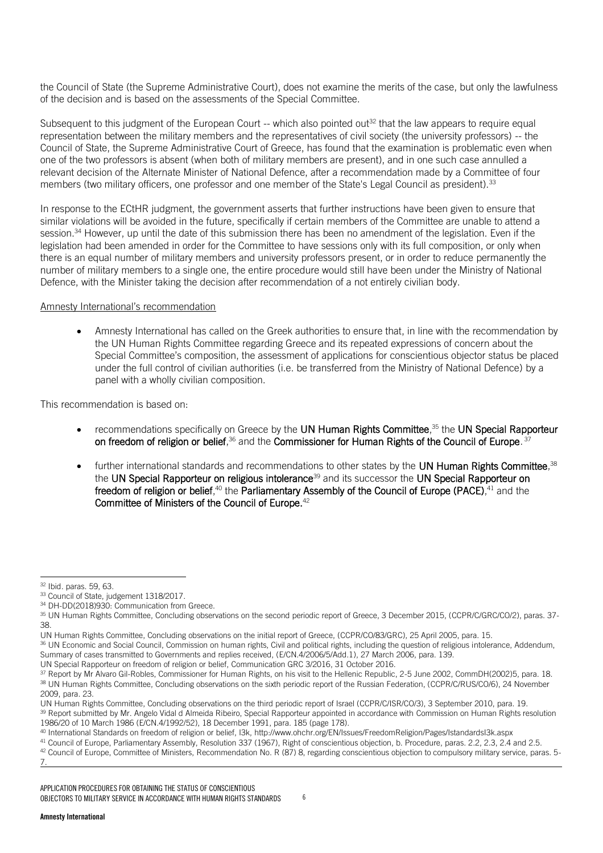the Council of State (the Supreme Administrative Court), does not examine the merits of the case, but only the lawfulness of the decision and is based on the assessments of the Special Committee.

Subsequent to this judgment of the European Court  $-$  which also pointed out<sup>32</sup> that the law appears to require equal representation between the military members and the representatives of civil society (the university professors) -- the Council of State, the Supreme Administrative Court of Greece, has found that the examination is problematic even when one of the two professors is absent (when both of military members are present), and in one such case annulled a relevant decision of the Alternate Minister of National Defence, after a recommendation made by a Committee of four members (two military officers, one professor and one member of the State's Legal Council as president).<sup>33</sup>

In response to the ECtHR judgment, the government asserts that further instructions have been given to ensure that similar violations will be avoided in the future, specifically if certain members of the Committee are unable to attend a session.<sup>34</sup> However, up until the date of this submission there has been no amendment of the legislation. Even if the legislation had been amended in order for the Committee to have sessions only with its full composition, or only when there is an equal number of military members and university professors present, or in order to reduce permanently the number of military members to a single one, the entire procedure would still have been under the Ministry of National Defence, with the Minister taking the decision after recommendation of a not entirely civilian body.

#### Amnesty International's recommendation

 Amnesty International has called on the Greek authorities to ensure that, in line with the recommendation by the UN Human Rights Committee regarding Greece and its repeated expressions of concern about the Special Committee's composition, the assessment of applications for conscientious objector status be placed under the full control of civilian authorities (i.e. be transferred from the Ministry of National Defence) by a panel with a wholly civilian composition.

This recommendation is based on:

- recommendations specifically on Greece by the UN Human Rights Committee,<sup>35</sup> the UN Special Rapporteur on freedom of religion or belief, $^{36}$  and the Commissioner for Human Rights of the Council of Europe.  $^{37}$
- $\bullet$  further international standards and recommendations to other states by the UN Human Rights Committee,<sup>38</sup> the UN Special Rapporteur on religious intolerance<sup>39</sup> and its successor the UN Special Rapporteur on freedom of religion or belief,<sup>40</sup> the Parliamentary Assembly of the Council of Europe (PACE),<sup>41</sup> and the Committee of Ministers of the Council of Europe.<sup>42</sup>

<sup>-</sup><sup>32</sup> Ibid. paras. 59, 63.

<sup>33</sup> Council of State, judgement 1318/2017.

<sup>34</sup> [DH-DD\(2018\)930:](https://rm.coe.int/CoERMPublicCommonSearchServices/DisplayDCTMContent?documentId=09000016808de330) Communication from Greece.

<sup>&</sup>lt;sup>35</sup> UN Human Rights Committee, Concluding observations on the second periodic report of Greece, 3 December 2015, [\(CCPR/C/GRC/CO/2\)](http://undocs.org/CCPR/C/GRC/CO/2), paras. 37-38.

UN Human Rights Committee, Concluding observations on the initial report of Greece, [\(CCPR/CO/83/GRC\)](http://undocs.org/CCPR/CO/83/GRC), 25 April 2005, para. 15.

<sup>36</sup> UN Economic and Social Council, Commission on human rights, Civil and political rights, including the question of religious intolerance, Addendum, Summary of cases transmitted to Governments and replies received, [\(E/CN.4/2006/5/Add.1\)](http://undocs.org/E/CN.4/2006/5/Add.1), 27 March 2006, para. 139.

UN Special Rapporteur on freedom of religion or belief, [Communication GRC 3/2016,](https://spcommreports.ohchr.org/TMResultsBase/DownLoadPublicCommunicationFile?gId=22834) 31 October 2016.

<sup>37</sup> Report by Mr Alvaro Gil-Robles, Commissioner for Human Rights, on his visit to the Hellenic Republic, 2-5 June 2002[, CommDH\(2002\)5,](https://rm.coe.int/CoERMPublicCommonSearchServices/DisplayDCTMContent?documentId=09000016806db86f) para. 18. <sup>38</sup> UN Human Rights Committee, Concluding observations on the sixth periodic report of the Russian Federation, [\(CCPR/C/RUS/CO/6\)](http://undocs.org/CCPR/C/RUS/CO/6), 24 November 2009, para. 23.

UN Human Rights Committee, Concluding observations on the third periodic report of Israel [\(CCPR/C/ISR/CO/3\),](http://undocs.org/CCPR/C/ISR/CO/3) 3 September 2010, para. 19. 39 Report submitted by Mr. Angelo Vidal d Almeida Ribeiro, Special Rapporteur appointed in accordance with Commission on Human Rights resolution 1986/20 of 10 March 1986 [\(E/CN.4/1992/52\)](http://undocs.org/E/CN.4/1992/52), 18 December 1991, para. 185 (page 178).

<sup>40</sup> International Standards on freedom of religion or belief, I3k,<http://www.ohchr.org/EN/Issues/FreedomReligion/Pages/IstandardsI3k.aspx>

<sup>41</sup> Council of Europe, Parliamentary Assembly[, Resolution 337 \(1967\),](http://assembly.coe.int/nw/xml/XRef/Xref-XML2HTML-en.asp?fileid=15752&lang=en) Right of conscientious objection, b. Procedure, paras. 2.2, 2.3, 2.4 and 2.5. <sup>42</sup> Council of Europe, Committee of Ministers, [Recommendation No. R \(87\) 8,](http://www.refworld.org/docid/5069778e2.html) regarding conscientious objection to compulsory military service, paras. 5-7.

APPLICATION PROCEDURES FOR OBTAINING THE STATUS OF CONSCIENTIOUS OBJECTORS TO MILITARY SERVICE IN ACCORDANCE WITH HUMAN RIGHTS STANDARDS 6